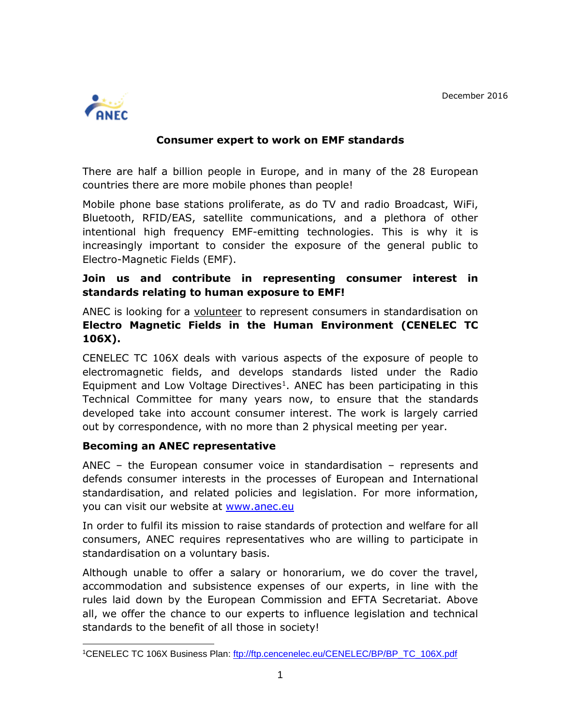December 2016



## **Consumer expert to work on EMF standards**

There are half a billion people in Europe, and in many of the 28 European countries there are more mobile phones than people!

Mobile phone base stations proliferate, as do TV and radio Broadcast, WiFi, Bluetooth, RFID/EAS, satellite communications, and a plethora of other intentional high frequency EMF-emitting technologies. This is why it is increasingly important to consider the exposure of the general public to Electro-Magnetic Fields (EMF).

# **Join us and contribute in representing consumer interest in standards relating to human exposure to EMF!**

ANEC is looking for a volunteer to represent consumers in standardisation on **Electro Magnetic Fields in the Human Environment (CENELEC TC 106X).**

CENELEC TC 106X deals with various aspects of the exposure of people to electromagnetic fields, and develops standards listed under the Radio Equipment and Low Voltage Directives<sup>1</sup>. ANEC has been participating in this Technical Committee for many years now, to ensure that the standards developed take into account consumer interest. The work is largely carried out by correspondence, with no more than 2 physical meeting per year.

## **Becoming an ANEC representative**

ANEC – the European consumer voice in standardisation – represents and defends consumer interests in the processes of European and International standardisation, and related policies and legislation. For more information, you can visit our website at [www.anec.eu](http://www.anec.eu/)

In order to fulfil its mission to raise standards of protection and welfare for all consumers, ANEC requires representatives who are willing to participate in standardisation on a voluntary basis.

Although unable to offer a salary or honorarium, we do cover the travel, accommodation and subsistence expenses of our experts, in line with the rules laid down by the European Commission and EFTA Secretariat. Above all, we offer the chance to our experts to influence legislation and technical standards to the benefit of all those in society!

 1CENELEC TC 106X Business Plan: [ftp://ftp.cencenelec.eu/CENELEC/BP/BP\\_TC\\_106X.pdf](ftp://ftp.cencenelec.eu/CENELEC/BP/BP_TC_106X.pdf)